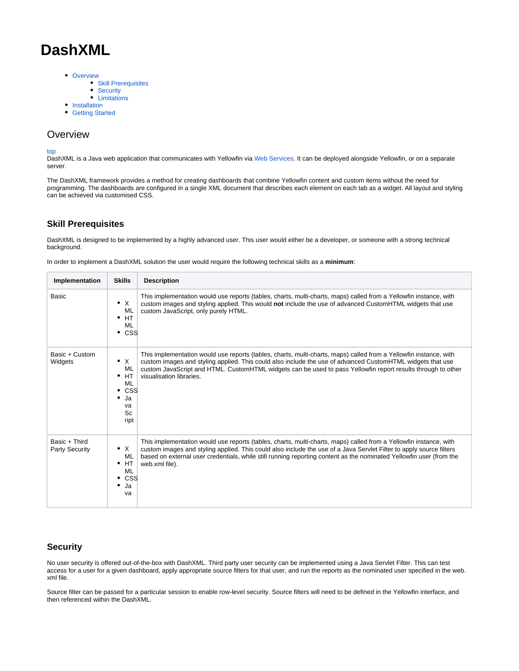# **DashXML**

- [Overview](#page-0-0)
	- [Skill Prerequisites](#page-0-1)
	- [Security](#page-0-2)
	- [Limitations](#page-0-3)
- [Installation](#page-1-0)
- **[Getting Started](#page-3-0)**

# <span id="page-0-0"></span>**Overview**

top

DashXML is a Java web application that communicates with Yellowfin via [Web Services](https://wiki.yellowfinbi.com/display/USER73Plus/Web+Services). It can be deployed alongside Yellowfin, or on a separate server.

The DashXML framework provides a method for creating dashboards that combine Yellowfin content and custom items without the need for programming. The dashboards are configured in a single XML document that describes each element on each tab as a widget. All layout and styling can be achieved via customised CSS.

### <span id="page-0-1"></span>**Skill Prerequisites**

DashXML is designed to be implemented by a highly advanced user. This user would either be a developer, or someone with a strong technical background.

In order to implement a DashXML solution the user would require the following technical skills as a **minimum**:

| Implementation                         | <b>Skills</b>                                                                         | <b>Description</b>                                                                                                                                                                                                                                                                                                                                                                |
|----------------------------------------|---------------------------------------------------------------------------------------|-----------------------------------------------------------------------------------------------------------------------------------------------------------------------------------------------------------------------------------------------------------------------------------------------------------------------------------------------------------------------------------|
| Basic                                  | $\bullet$ X<br>ML<br>HT<br>٠<br>ML<br>$\cdot$ css                                     | This implementation would use reports (tables, charts, multi-charts, maps) called from a Yellowfin instance, with<br>custom images and styling applied. This would not include the use of advanced CustomHTML widgets that use<br>custom JavaScript, only purely HTML.                                                                                                            |
| Basic + Custom<br>Widgets              | $\bullet$ X<br>ML<br>HT.<br>٠<br>ML<br><b>CSS</b><br>٠<br>٠<br>Ja<br>va<br>Sc<br>ript | This implementation would use reports (tables, charts, multi-charts, maps) called from a Yellowfin instance, with<br>custom images and styling applied. This could also include the use of advanced CustomHTML widgets that use<br>custom JavaScript and HTML. CustomHTML widgets can be used to pass Yellowfin report results through to other<br>visualisation libraries.       |
| Basic + Third<br><b>Party Security</b> | $\bullet$ X<br>ML<br>HT<br>٠<br>ML<br><b>CSS</b><br>٠<br>٠<br>Ja<br>va                | This implementation would use reports (tables, charts, multi-charts, maps) called from a Yellowfin instance, with<br>custom images and styling applied. This could also include the use of a Java Servlet Filter to apply source filters<br>based on external user credentials, while still running reporting content as the nominated Yellowfin user (from the<br>web.xml file). |

### <span id="page-0-2"></span>**Security**

No user security is offered out-of-the-box with DashXML. Third party user security can be implemented using a Java Servlet Filter. This can test access for a user for a given dashboard, apply appropriate source filters for that user, and run the reports as the nominated user specified in the web. xml file.

<span id="page-0-3"></span>Source filter can be passed for a particular session to enable row-level security. Source filters will need to be defined in the Yellowfin interface, and then referenced within the DashXML.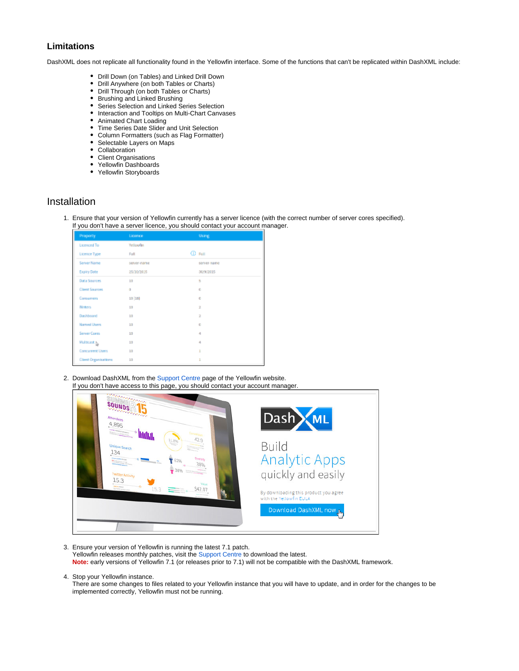### **Limitations**

DashXML does not replicate all functionality found in the Yellowfin interface. Some of the functions that can't be replicated within DashXML include:

- Drill Down (on Tables) and Linked Drill Down
- Drill Anywhere (on both Tables or Charts)
- Drill Through (on both Tables or Charts)
- Brushing and Linked Brushing
- Series Selection and Linked Series Selection
- Interaction and Tooltips on Multi-Chart Canvases
- $\bullet$ Animated Chart Loading
- Time Series Date Slider and Unit Selection
- Column Formatters (such as Flag Formatter)
- Selectable Layers on Maps
- Collaboration
- Client Organisations
- Yellowfin Dashboards
- Yellowfin Storyboards

# <span id="page-1-0"></span>Installation

1. Ensure that your version of Yellowfin currently has a server licence (with the correct number of server cores specified). If you don't have a server licence, you should contact your account manager.

| Property                    | Licence     | <b>Using</b>   |  |
|-----------------------------|-------------|----------------|--|
| <b>Licenced To</b>          | Yellowith   |                |  |
| Licence Type                | Fall        | <b>CD</b> Full |  |
| Server Name                 | server-name | server-name    |  |
| <b>Expiry Date</b>          | 25/30/2015  | 30/9/2015      |  |
| Data Sources                | 1/3         | 5              |  |
| <b>Client Sources</b>       | a           | O              |  |
| Consumers                   | 10[15]      | O              |  |
| <b>Writers</b>              | 10          | z              |  |
| Dashboard                   | 10          | ž              |  |
| <b>Named Users</b>          | 13          | O              |  |
| Server Cores                | 13          | 4              |  |
| Multicast <sub>2</sub>      | 10          | 4              |  |
| <b>Concurrent Users</b>     | 1/3         | ı              |  |
| <b>Client Organizations</b> | 10          | ı              |  |

2. Download DashXML from the [Support Centre](http://www.yellowfinbi.com/YFSupportCentre.i4) page of the Yellowfin website. If you don't have access to this page, you should contact your account manager.

| e aaaaaaaaaaaaaa<br><b>SOUNDS</b><br>and and an an an and<br>Attendees<br>4,895<br><b>PERSONAL PROPERTY AND INCOME.</b>                                                                                                                                                                                                                                                                                                        | Dash ML                                                                                                                                                   |
|--------------------------------------------------------------------------------------------------------------------------------------------------------------------------------------------------------------------------------------------------------------------------------------------------------------------------------------------------------------------------------------------------------------------------------|-----------------------------------------------------------------------------------------------------------------------------------------------------------|
| <b>PERSONAL PROPERTY AND INCOME.</b><br>11.8%<br><b>Unique Search</b><br>134<br><b>Diversity</b><br><b>Charles Schwarter Corp.</b><br><b>District Company</b><br>чÈ,<br>North School and age of the America<br><b>STATIST DISTURBANCE</b><br><b>Twitter Activity</b><br>15.3<br>Value<br><b>TWO IN FEELAL</b><br>÷o<br>15.3<br>\$42.07<br>New Yorker service is then<br><b>Rendering Street P</b><br><b>Box Plan Associate</b> | <b>Build</b><br><b>Analytic Apps</b><br>quickly and easily<br>By downloading this product you agree<br>with the Yellowfin EULA<br>Download DashXML now by |

- 3. Ensure your version of Yellowfin is running the latest 7.1 patch.
	- Yellowfin releases monthly patches, visit the [Support Centre](http://www.yellowfinbi.com/YFSupportCentre.i4) to download the latest.
	- **Note:** early versions of Yellowfin 7.1 (or releases prior to 7.1) will not be compatible with the DashXML framework.
- 4. Stop your Yellowfin instance.

There are some changes to files related to your Yellowfin instance that you will have to update, and in order for the changes to be implemented correctly, Yellowfin must not be running.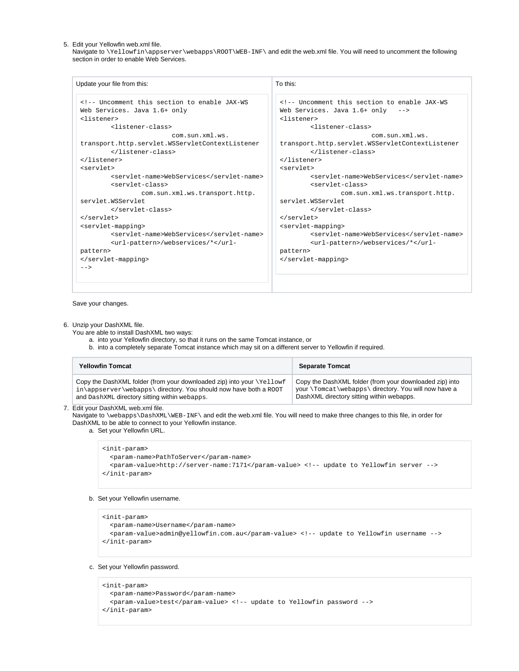5. Edit your Yellowfin web.xml file.

Navigate to \Yellowfin\appserver\webapps\ROOT\WEB-INF\ and edit the web.xml file. You will need to uncomment the following section in order to enable Web Services.

| Update your file from this:                                                                                                                                                                                                                                                                                                                                                                                                                                                                                                                                                                                                                                                                                                                                                                                                                                                                                                                                                                                                                                                                                              | To this: |  |  |
|--------------------------------------------------------------------------------------------------------------------------------------------------------------------------------------------------------------------------------------------------------------------------------------------------------------------------------------------------------------------------------------------------------------------------------------------------------------------------------------------------------------------------------------------------------------------------------------------------------------------------------------------------------------------------------------------------------------------------------------------------------------------------------------------------------------------------------------------------------------------------------------------------------------------------------------------------------------------------------------------------------------------------------------------------------------------------------------------------------------------------|----------|--|--|
| Uncomment this section to enable JAX-WS<br>Web Services. Java 1.6+ only<br><listener><br><listener-class><br>com.sun.xml.ws.<br>transport.http.servlet.WSServletContextListener<br></listener-class><br></listener><br><servlet><br><servlet-name>WebServices</servlet-name><br><servlet-class><br>com.sun.xml.ws.transport.http.<br>servlet. WSServlet<br></servlet-class><br></servlet><br><servlet-mapping><br><servlet-name>WebServices</servlet-name><br><url-pattern>/webservices/*</url-<br>pattern><br></servlet-mapping><br><math>--</math></td><td><!-- Uncomment this section to enable JAX-WS<br>Web Services. Java 1.6+ only<br><listener><br/><listener-class><br/>com.sun.xml.ws.<br/>transport.http.servlet.WSServletContextListener<br/></listener-class><br/></listener><br><servlet><br/><servlet-name>WebServices</servlet-name><br/><servlet-class><br/>com.sun.xml.ws.transport.http.<br/>servlet. WSServlet<br/></servlet-class><br/></servlet><br><servlet-mapping><br/><servlet-name>WebServices</servlet-name><br/><url-pattern>/webservices/*pattern&gt;<br/></url-pattern></servlet-mapping> |          |  |  |
|                                                                                                                                                                                                                                                                                                                                                                                                                                                                                                                                                                                                                                                                                                                                                                                                                                                                                                                                                                                                                                                                                                                          |          |  |  |

Save your changes.

#### 6. Unzip your DashXML file.

You are able to install DashXML two ways:

- a. into your Yellowfin directory, so that it runs on the same Tomcat instance, or
- b. into a completely separate Tomcat instance which may sit on a different server to Yellowfin if required.

| <b>Yellowfin Tomcat</b>                                               | <b>Separate Tomcat</b>                                  |
|-----------------------------------------------------------------------|---------------------------------------------------------|
| Copy the DashXML folder (from your downloaded zip) into your \Yellowf | Copy the DashXML folder (from your downloaded zip) into |
| in\appserver\webapps\ directory. You should now have both a ROOT      | your \Tomcat \webapps\ directory. You will now have a   |
| and DashXML directory sitting within webapps.                         | DashXML directory sitting within webapps.               |

7. Edit your DashXML web.xml file.

Navigate to \webapps\DashXML\WEB-INF\ and edit the web.xml file. You will need to make three changes to this file, in order for DashXML to be able to connect to your Yellowfin instance.

a. Set your Yellowfin URL.

```
<init-param>
   <param-name>PathToServer</param-name>
   <param-value>http://server-name:7171</param-value> <!-- update to Yellowfin server -->
</init-param>
```
### b. Set your Yellowfin username.

<init-param> <param-name>Username</param-name> <param-value>admin@yellowfin.com.au</param-value> <!-- update to Yellowfin username --> </init-param>

c. Set your Yellowfin password.

```
<init-param>
   <param-name>Password</param-name>
   <param-value>test</param-value> <!-- update to Yellowfin password -->
</init-param>
```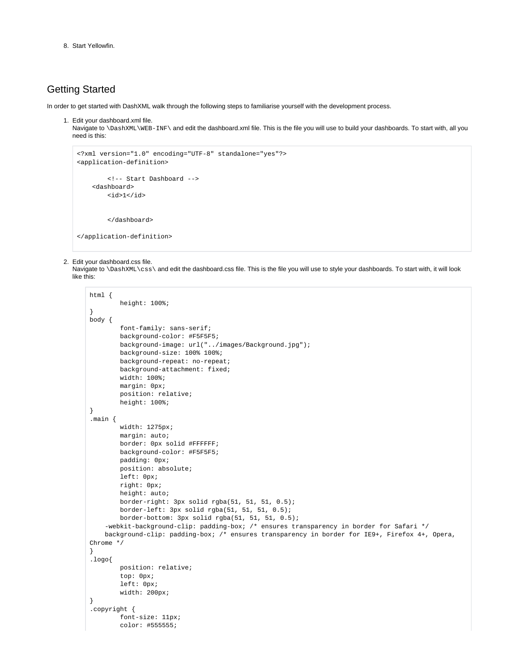8. Start Yellowfin.

# <span id="page-3-0"></span>Getting Started

In order to get started with DashXML walk through the following steps to familiarise yourself with the development process.

1. Edit your dashboard.xml file.

Navigate to \DashXML\WEB-INF\ and edit the dashboard.xml file. This is the file you will use to build your dashboards. To start with, all you need is this:

```
<?xml version="1.0" encoding="UTF-8" standalone="yes"?>
<application-definition>
         <!-- Start Dashboard -->
     <dashboard>
        <id>1</id>
         </dashboard>
</application-definition>
```
#### 2. Edit your dashboard.css file.

Navigate to \DashXML\css\ and edit the dashboard.css file. This is the file you will use to style your dashboards. To start with, it will look like this:

```
html {
         height: 100%;
}
body {
         font-family: sans-serif;
         background-color: #F5F5F5;
         background-image: url("../images/Background.jpg");
         background-size: 100% 100%;
         background-repeat: no-repeat;
         background-attachment: fixed;
         width: 100%;
         margin: 0px;
         position: relative;
         height: 100%;
}
.main {
         width: 1275px;
         margin: auto;
        border: 0px solid #FFFFFF;
        background-color: #F5F5F5;
         padding: 0px;
         position: absolute;
         left: 0px;
         right: 0px;
         height: auto;
         border-right: 3px solid rgba(51, 51, 51, 0.5);
         border-left: 3px solid rgba(51, 51, 51, 0.5);
         border-bottom: 3px solid rgba(51, 51, 51, 0.5);
     -webkit-background-clip: padding-box; /* ensures transparency in border for Safari */
     background-clip: padding-box; /* ensures transparency in border for IE9+, Firefox 4+, Opera, 
Chrome */
}
.logo{
         position: relative;
         top: 0px;
         left: 0px;
         width: 200px;
}
.copyright {
         font-size: 11px;
         color: #555555;
```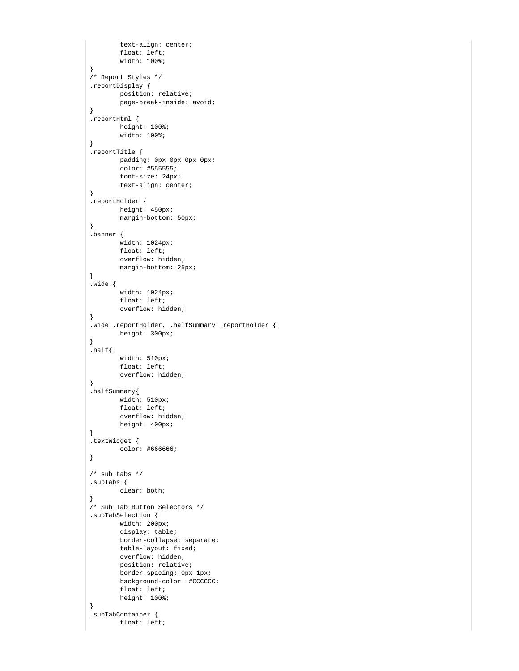```
 text-align: center;
         float: left;
         width: 100%;
}
/* Report Styles */
.reportDisplay {
         position: relative;
         page-break-inside: avoid;
}
.reportHtml {
        height: 100%;
        width: 100%;
}
.reportTitle {
        padding: 0px 0px 0px 0px;
        color: #555555;
        font-size: 24px;
        text-align: center;
}
.reportHolder {
        height: 450px;
         margin-bottom: 50px;
}
.banner {
        width: 1024px;
         float: left;
         overflow: hidden;
         margin-bottom: 25px;
}
.wide {
         width: 1024px;
         float: left;
         overflow: hidden;
}
.wide .reportHolder, .halfSummary .reportHolder {
        height: 300px;
}
.half width: 510px;
        float: left;
        overflow: hidden;
}
.halfSummary{
        width: 510px;
        float: left;
         overflow: hidden;
        height: 400px;
}
.textWidget {
        color: #666666;
}
/* sub tabs */.subTabs {
        clear: both;
}
/* Sub Tab Button Selectors */
.subTabSelection {
        width: 200px;
        display: table;
        border-collapse: separate;
        table-layout: fixed;
        overflow: hidden;
        position: relative;
         border-spacing: 0px 1px;
         background-color: #CCCCCC;
        float: left;
        height: 100%;
}
.subTabContainer {
        float: left;
```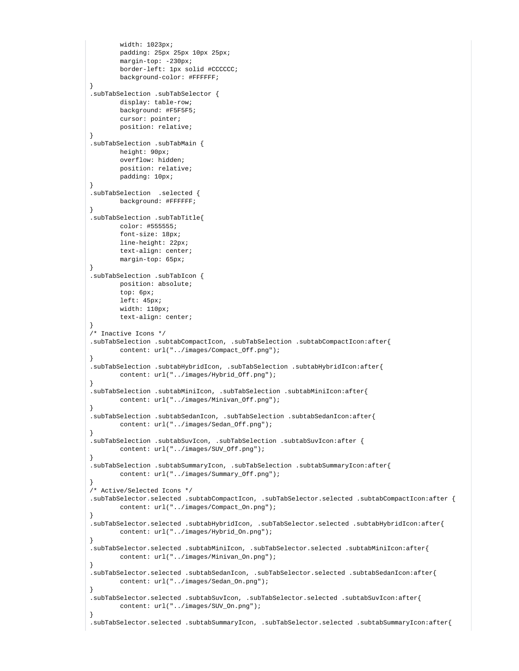```
 width: 1023px;
        padding: 25px 25px 10px 25px;
         margin-top: -230px;
         border-left: 1px solid #CCCCCC;
        background-color: #FFFFFF;
}
.subTabSelection .subTabSelector {
        display: table-row;
        background: #F5F5F5;
        cursor: pointer;
        position: relative;
}
.subTabSelection .subTabMain {
        height: 90px;
        overflow: hidden;
        position: relative;
        padding: 10px;
}
.subTabSelection .selected {
        background: #FFFFFF;
}
.subTabSelection .subTabTitle{
        color: #555555;
        font-size: 18px;
        line-height: 22px;
        text-align: center;
        margin-top: 65px;
}
.subTabSelection .subTabIcon {
        position: absolute;
        top: 6px;
        left: 45px;
        width: 110px;
        text-align: center;
}
/* Inactive Icons */
.subTabSelection .subtabCompactIcon, .subTabSelection .subtabCompactIcon:after{
        content: url("../images/Compact_Off.png");
}
.subTabSelection .subtabHybridIcon, .subTabSelection .subtabHybridIcon:after{
        content: url("../images/Hybrid_Off.png");
}
.subTabSelection .subtabMiniIcon, .subTabSelection .subtabMiniIcon:after{
        content: url("../images/Minivan_Off.png");
}
.subTabSelection .subtabSedanIcon, .subTabSelection .subtabSedanIcon:after{
         content: url("../images/Sedan_Off.png");
}
.subTabSelection .subtabSuvIcon, .subTabSelection .subtabSuvIcon:after {
        content: url("../images/SUV_Off.png");
}
.subTabSelection .subtabSummaryIcon, .subTabSelection .subtabSummaryIcon:after{
        content: url("../images/Summary_Off.png");
}
/* Active/Selected Icons */
.subTabSelector.selected .subtabCompactIcon, .subTabSelector.selected .subtabCompactIcon:after {
        content: url("../images/Compact_On.png");
}
.subTabSelector.selected .subtabHybridIcon, .subTabSelector.selected .subtabHybridIcon:after{
         content: url("../images/Hybrid_On.png");
}
.subTabSelector.selected .subtabMiniIcon, .subTabSelector.selected .subtabMiniIcon:after{
        content: url("../images/Minivan_On.png");
}
.subTabSelector.selected .subtabSedanIcon, .subTabSelector.selected .subtabSedanIcon:after{
        content: url("../images/Sedan_On.png");
}
.subTabSelector.selected .subtabSuvIcon, .subTabSelector.selected .subtabSuvIcon:after{
        content: url("../images/SUV_On.png");
}
.subTabSelector.selected .subtabSummaryIcon, .subTabSelector.selected .subtabSummaryIcon:after{
```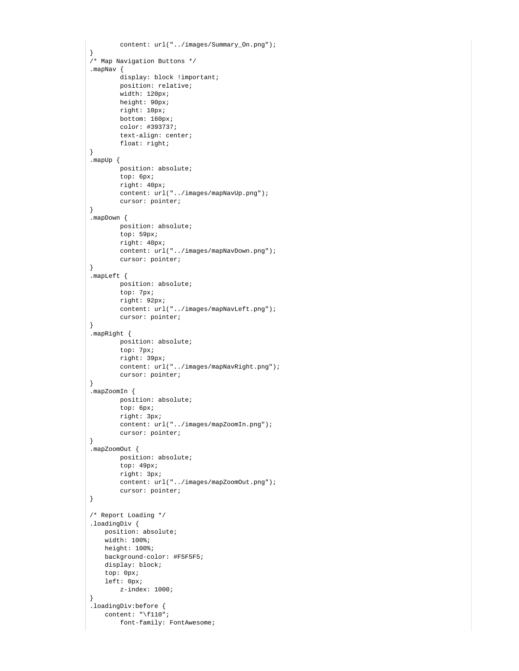```
 content: url("../images/Summary_On.png");
}
/* Map Navigation Buttons */
.mapNav {
       display: block !important;
        position: relative;
         width: 120px;
        height: 90px;
        right: 10px;
        bottom: 160px;
        color: #393737;
         text-align: center;
        float: right;
}
.mapUp {
        position: absolute;
        top: 6px;
         right: 40px;
         content: url("../images/mapNavUp.png");
         cursor: pointer;
}
.mapDown {
        position: absolute;
         top: 59px;
        right: 40px;
         content: url("../images/mapNavDown.png");
         cursor: pointer;
}
.mapLeft {
        position: absolute;
         top: 7px;
        right: 92px;
         content: url("../images/mapNavLeft.png");
         cursor: pointer;
}
.mapRight {
        position: absolute;
         top: 7px;
         right: 39px;
         content: url("../images/mapNavRight.png");
        cursor: pointer;
}
.mapZoomIn {
        position: absolute;
        top: 6px;
        right: 3px;
        content: url("../images/mapZoomIn.png");
        cursor: pointer;
}
.mapZoomOut {
        position: absolute;
         top: 49px;
         right: 3px;
         content: url("../images/mapZoomOut.png");
        cursor: pointer;
}
/* Report Loading */
.loadingDiv {
    position: absolute;
    width: 100%;
    height: 100%;
    background-color: #F5F5F5;
    display: block;
    top: 0px;
    left: 0px;
        z-index: 1000;
}
.loadingDiv:before {
    content: "\f110";
         font-family: FontAwesome;
```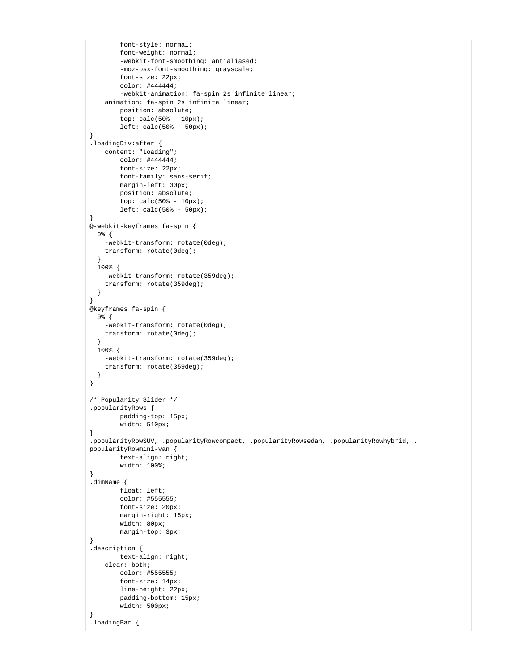```
 font-style: normal;
         font-weight: normal;
         -webkit-font-smoothing: antialiased;
         -moz-osx-font-smoothing: grayscale;
         font-size: 22px;
         color: #444444;
         -webkit-animation: fa-spin 2s infinite linear;
     animation: fa-spin 2s infinite linear;
        position: absolute;
        top: calc}(50 - 10px);
        left: calc(50* - 50px);
}
.loadingDiv:after {
     content: "Loading";
        color: #444444;
        font-size: 22px;
        font-family: sans-serif;
        margin-left: 30px;
        position: absolute;
        top: calc(50* - 10px);
         left: calc(50% - 50px);
}
@-webkit-keyframes fa-spin {
   0% {
     -webkit-transform: rotate(0deg);
    transform: rotate(0deg);
 }
  100% {
    -webkit-transform: rotate(359deg);
     transform: rotate(359deg);
   }
}
@keyframes fa-spin {
  0% {
     -webkit-transform: rotate(0deg);
    transform: rotate(0deg);
   }
  100% {
    -webkit-transform: rotate(359deg);
     transform: rotate(359deg);
   }
}
/* Popularity Slider */
.popularityRows {
         padding-top: 15px;
         width: 510px;
}
.popularityRowSUV, .popularityRowcompact, .popularityRowsedan, .popularityRowhybrid, .
popularityRowmini-van {
        text-align: right;
         width: 100%;
}
.dimName {
        float: left;
        color: #555555;
        font-size: 20px;
         margin-right: 15px;
         width: 80px;
         margin-top: 3px;
}
.description {
        text-align: right;
     clear: both;
        color: #555555;
         font-size: 14px;
         line-height: 22px;
         padding-bottom: 15px;
         width: 500px;
}
.loadingBar {
```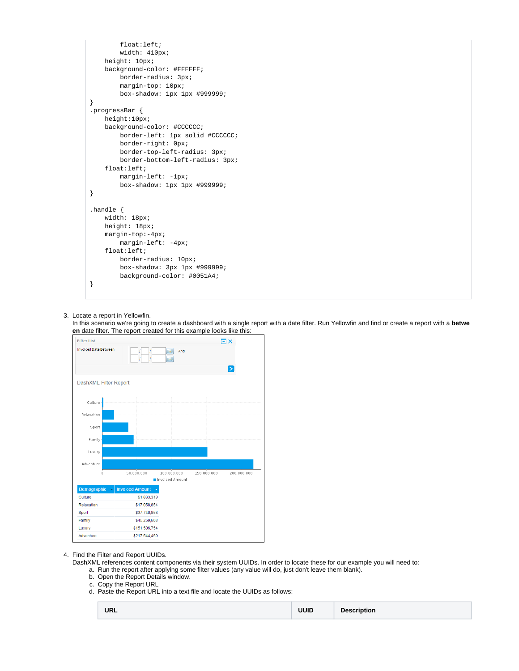```
 float:left;
         width: 410px;
    height: 10px;
    background-color: #FFFFFF;
         border-radius: 3px;
         margin-top: 10px;
         box-shadow: 1px 1px #999999;
}
.progressBar {
    height:10px;
    background-color: #CCCCCC;
         border-left: 1px solid #CCCCCC;
         border-right: 0px;
         border-top-left-radius: 3px;
         border-bottom-left-radius: 3px; 
     float:left;
         margin-left: -1px;
         box-shadow: 1px 1px #999999;
}
.handle {
    width: 18px;
    height: 18px;
    margin-top:-4px;
         margin-left: -4px;
    float:left;
         border-radius: 10px;
         box-shadow: 3px 1px #999999;
         background-color: #0051A4;
}
```
### 3. Locate a report in Yellowfin.

In this scenario we're going to create a dashboard with a single report with a date filter. Run Yellowfin and find or create a report with a **betwe en** date filter. The report created for this example looks like this:



### 4. Find the Filter and Report UUIDs.

DashXML references content components via their system UUIDs. In order to locate these for our example you will need to:

- a. Run the report after applying some filter values (any value will do, just don't leave them blank).
- b. Open the Report Details window.
- c. Copy the Report URL
- d. Paste the Report URL into a text file and locate the UUIDs as follows:

| <b>URL</b> |  | <b>UUID</b> | <b>Description</b> |
|------------|--|-------------|--------------------|
|------------|--|-------------|--------------------|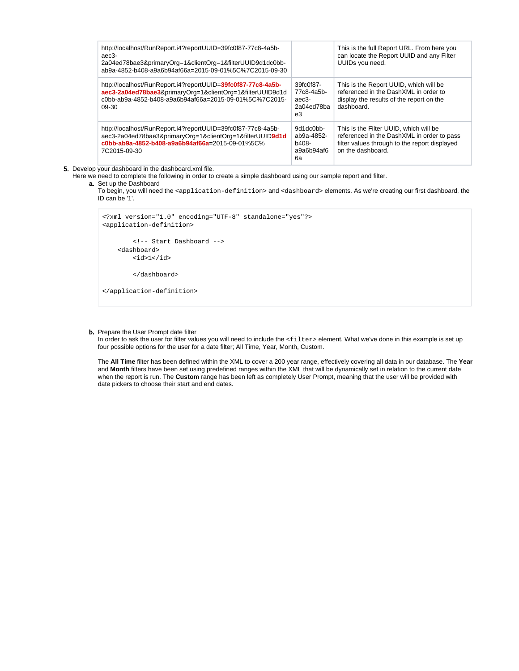| http://localhost/RunReport.i4?reportUUID=39fc0f87-77c8-4a5b-<br>aec3-<br>2a04ed78bae3&primaryOrg=1&clientOrg=1&filterUUID9d1dc0bb-<br>ab9a-4852-b408-a9a6b94af66a=2015-09-01%5C%7C2015-09-30 |                                                      | This is the full Report URL. From here you<br>can locate the Report UUID and any Filter<br>UUIDs you need.                                                 |
|----------------------------------------------------------------------------------------------------------------------------------------------------------------------------------------------|------------------------------------------------------|------------------------------------------------------------------------------------------------------------------------------------------------------------|
| http://localhost/RunReport.i4?reportUUID=39fc0f87-77c8-4a5b-<br>aec3-2a04ed78bae3&primaryOrg=1&clientOrg=1&filterUUID9d1d<br>c0bb-ab9a-4852-b408-a9a6b94af66a=2015-09-01%5C%7C2015-<br>09-30 | 39fc0f87-<br>77c8-4a5b-<br>aec3-<br>2a04ed78ba<br>e3 | This is the Report UUID, which will be<br>referenced in the DashXML in order to<br>display the results of the report on the<br>dashboard.                  |
| http://localhost/RunReport.i4?reportUUID=39fc0f87-77c8-4a5b-<br>aec3-2a04ed78bae3&primaryOrg=1&clientOrg=1&filterUUID9d1d<br>c0bb-ab9a-4852-b408-a9a6b94af66a=2015-09-01%5C%<br>7C2015-09-30 | 9d1dc0bb-<br>ab9a-4852-<br>b408-<br>a9a6b94af6<br>6а | This is the Filter UUID, which will be<br>referenced in the DashXML in order to pass<br>filter values through to the report displayed<br>on the dashboard. |

5. Develop your dashboard in the dashboard.xml file.

Here we need to complete the following in order to create a simple dashboard using our sample report and filter.

a. Set up the Dashboard

To begin, you will need the <application-definition> and <dashboard> elements. As we're creating our first dashboard, the ID can be '1'.

```
<?xml version="1.0" encoding="UTF-8" standalone="yes"?>
<application-definition>
         <!-- Start Dashboard -->
     <dashboard>
        <id>1</id>
         </dashboard>
</application-definition>
```
#### **b.** Prepare the User Prompt date filter

In order to ask the user for filter values you will need to include the <filter> element. What we've done in this example is set up four possible options for the user for a date filter; All Time, Year, Month, Custom.

The **All Time** filter has been defined within the XML to cover a 200 year range, effectively covering all data in our database. The **Year** and **Month** filters have been set using predefined ranges within the XML that will be dynamically set in relation to the current date when the report is run. The **Custom** range has been left as completely User Prompt, meaning that the user will be provided with date pickers to choose their start and end dates.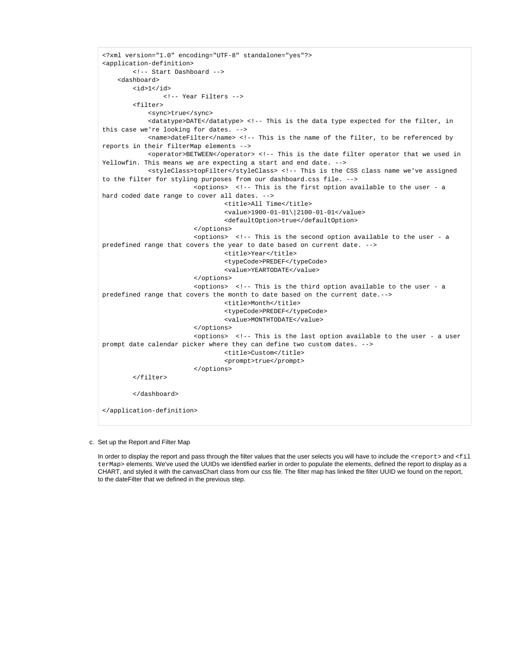```
<?xml version="1.0" encoding="UTF-8" standalone="yes"?>
<application-definition>
         <!-- Start Dashboard -->
     <dashboard>
         <id>1</id>
                 <!-- Year Filters -->
         <filter>
             <sync>true</sync>
             <datatype>DATE</datatype> <!-- This is the data type expected for the filter, in 
this case we're looking for dates. -->
             <name>dateFilter</name> <!-- This is the name of the filter, to be referenced by 
reports in their filterMap elements -->
             <operator>BETWEEN</operator> <!-- This is the date filter operator that we used in 
Yellowfin. This means we are expecting a start and end date. -->
             <styleClass>topFilter</styleClass> <!-- This is the CSS class name we've assigned 
to the filter for styling purposes from our dashboard.css file. -->
                         <options> <!-- This is the first option available to the user - a 
hard coded date range to cover all dates. -->
                                 <title>All Time</title> 
                                 <value>1900-01-01\|2100-01-01</value>
                                 <defaultOption>true</defaultOption>
                         </options>
                         <options> <!-- This is the second option available to the user - a 
predefined range that covers the year to date based on current date. -->
                                 <title>Year</title>
                                 <typeCode>PREDEF</typeCode>
                                 <value>YEARTODATE</value>
                         </options>
                        s <options> s! -- This is the third option available to the user - a
predefined range that covers the month to date based on the current date.-->
                                 <title>Month</title>
                                 <typeCode>PREDEF</typeCode>
                                 <value>MONTHTODATE</value>
                         </options>
                         <options> <!-- This is the last option available to the user - a user 
prompt date calendar picker where they can define two custom dates. -->
                                <title>Custom</title>
                                 <prompt>true</prompt>
                         </options>
        c/filter>
         </dashboard>
</application-definition>
```
### c. Set up the Report and Filter Map

In order to display the report and pass through the filter values that the user selects you will have to include the <report> and <fil terMap> elements. We've used the UUIDs we identified earlier in order to populate the elements, defined the report to display as a CHART, and styled it with the canvasChart class from our css file. The filter map has linked the filter UUID we found on the report, to the dateFilter that we defined in the previous step.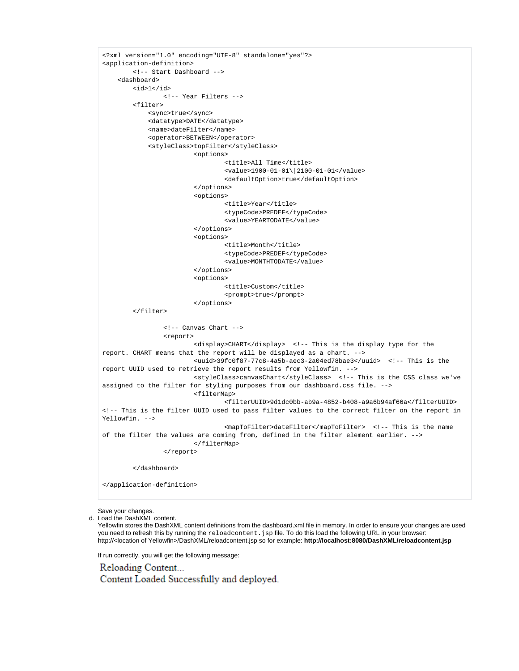```
<?xml version="1.0" encoding="UTF-8" standalone="yes"?>
<application-definition>
         <!-- Start Dashboard -->
     <dashboard>
         <id>1</id>
                 <!-- Year Filters -->
         <filter>
             <sync>true</sync>
             <datatype>DATE</datatype>
             <name>dateFilter</name>
             <operator>BETWEEN</operator>
             <styleClass>topFilter</styleClass>
                          <options>
                                  <title>All Time</title>
                                  <value>1900-01-01\|2100-01-01</value>
                                  <defaultOption>true</defaultOption>
                          </options>
                          <options>
                                  <title>Year</title>
                                  <typeCode>PREDEF</typeCode>
                                  <value>YEARTODATE</value>
                          </options>
                          <options>
                                  <title>Month</title>
                                  <typeCode>PREDEF</typeCode>
                                  <value>MONTHTODATE</value>
                          </options>
                          <options>
                                  <title>Custom</title>
                                  <prompt>true</prompt>
                          </options>
         </filter>
                 <!-- Canvas Chart -->
                 <report>
                          <display>CHART</display> <!-- This is the display type for the 
report. CHART means that the report will be displayed as a chart. -->
                          <uuid>39fc0f87-77c8-4a5b-aec3-2a04ed78bae3</uuid> <!-- This is the 
report UUID used to retrieve the report results from Yellowfin. -->
                          <styleClass>canvasChart</styleClass> <!-- This is the CSS class we've 
assigned to the filter for styling purposes from our dashboard.css file. -->
                          <filterMap>
                                  <filterUUID>9d1dc0bb-ab9a-4852-b408-a9a6b94af66a</filterUUID> 
<!-- This is the filter UUID used to pass filter values to the correct filter on the report in 
Yellowfin. -->
                                  <mapToFilter>dateFilter</mapToFilter> <!-- This is the name 
of the filter the values are coming from, defined in the filter element earlier. -->
                          </filterMap>
                 </report> 
         </dashboard>
</application-definition>
```
Save your changes.

d. Load the DashXML content.

Yellowfin stores the DashXML content definitions from the dashboard.xml file in memory. In order to ensure your changes are used you need to refresh this by running the reloadcontent. jsp file. To do this load the following URL in your browser: http://<location of Yellowfin>/DashXML/reloadcontent.jsp so for example: **http://localhost:8080/DashXML/reloadcontent.jsp**

If run correctly, you will get the following message:

Reloading Content... Content Loaded Successfully and deployed.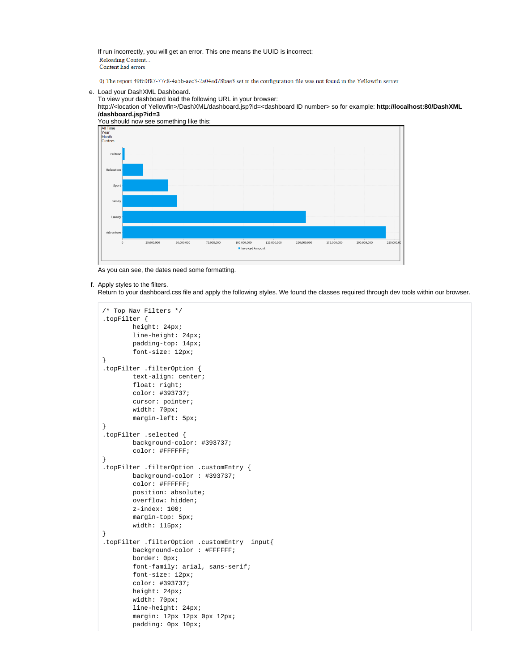If run incorrectly, you will get an error. This one means the UUID is incorrect: Reloading Content.. Content had errors

0) The report 39fc0f87-77c8-4a5b-aec3-2a04ed78bae3 set in the configuration file was not found in the Yellowfin server.

### e. Load your DashXML Dashboard.

To view your dashboard load the following URL in your browser:

http://<location of Yellowfin>/DashXML/dashboard.jsp?id=<dashboard ID number> so for example: **http://localhost:80/DashXML /dashboard.jsp?id=3**



As you can see, the dates need some formatting.

### f. Apply styles to the filters.

Return to your dashboard.css file and apply the following styles. We found the classes required through dev tools within our browser.

```
/* Top Nav Filters */
.topFilter {
         height: 24px;
         line-height: 24px;
         padding-top: 14px;
         font-size: 12px;
}
.topFilter .filterOption {
         text-align: center;
         float: right;
         color: #393737;
         cursor: pointer;
         width: 70px;
         margin-left: 5px;
}
.topFilter .selected {
         background-color: #393737;
         color: #FFFFFF;
}
.topFilter .filterOption .customEntry {
         background-color : #393737;
         color: #FFFFFF;
         position: absolute;
         overflow: hidden;
         z-index: 100;
         margin-top: 5px;
         width: 115px;
}
.topFilter .filterOption .customEntry input{
         background-color : #FFFFFF;
         border: 0px;
         font-family: arial, sans-serif;
         font-size: 12px;
         color: #393737;
         height: 24px;
         width: 70px;
         line-height: 24px;
         margin: 12px 12px 0px 12px;
         padding: 0px 10px;
```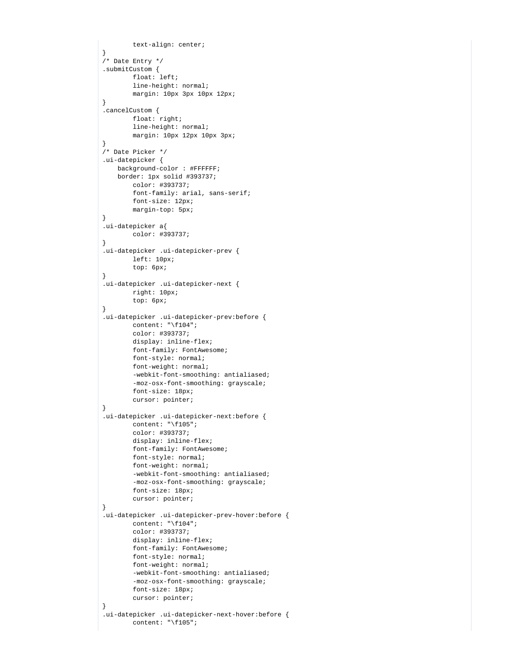```
 text-align: center;
}
/* Date Entry */
.submitCustom {
        float: left;
         line-height: normal;
         margin: 10px 3px 10px 12px;
}
.cancelCustom {
         float: right;
         line-height: normal;
         margin: 10px 12px 10px 3px;
}
/* Date Picker */
.ui-datepicker {
    background-color : #FFFFFF;
    border: 1px solid #393737;
        color: #393737;
         font-family: arial, sans-serif;
         font-size: 12px;
         margin-top: 5px;
}
.ui-datepicker a{
        color: #393737;
}
.ui-datepicker .ui-datepicker-prev {
         left: 10px;
        top: 6px;
}
.ui-datepicker .ui-datepicker-next {
        right: 10px;
         top: 6px;
}
.ui-datepicker .ui-datepicker-prev:before {
        content: "\f104";
        color: #393737;
        display: inline-flex;
        font-family: FontAwesome;
        font-style: normal;
         font-weight: normal;
         -webkit-font-smoothing: antialiased;
         -moz-osx-font-smoothing: grayscale;
         font-size: 18px;
         cursor: pointer;
}
.ui-datepicker .ui-datepicker-next:before {
        content: "\f105";
         color: #393737;
        display: inline-flex;
        font-family: FontAwesome;
        font-style: normal;
         font-weight: normal;
         -webkit-font-smoothing: antialiased;
         -moz-osx-font-smoothing: grayscale;
        font-size: 18px;
         cursor: pointer;
}
.ui-datepicker .ui-datepicker-prev-hover:before {
         content: "\f104";
         color: #393737;
        display: inline-flex;
        font-family: FontAwesome;
        font-style: normal;
        font-weight: normal;
         -webkit-font-smoothing: antialiased;
         -moz-osx-font-smoothing: grayscale;
         font-size: 18px;
         cursor: pointer;
}
.ui-datepicker .ui-datepicker-next-hover:before {
         content: "\f105";
```